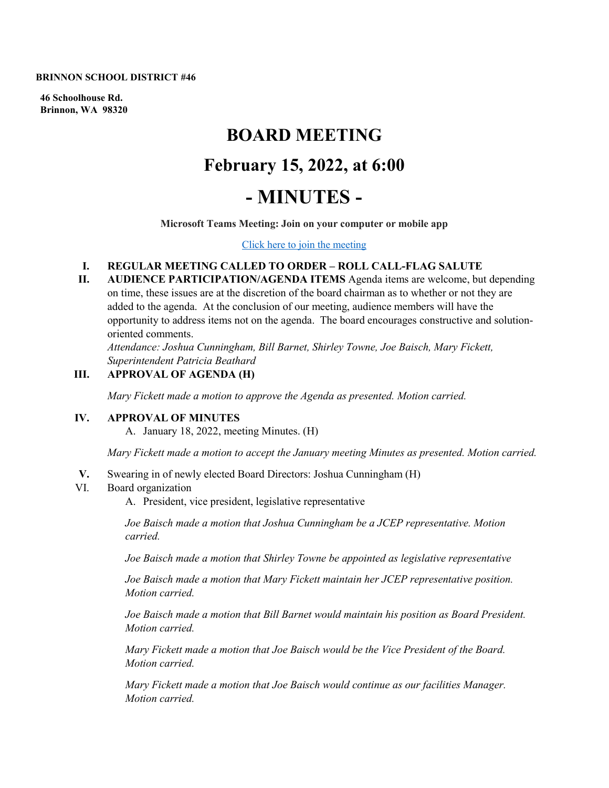**BRINNON SCHOOL DISTRICT #46**

**46 Schoolhouse Rd. Brinnon, WA 98320**

# **BOARD MEETING February 15, 2022, at 6:00 - MINUTES -**

**Microsoft Teams Meeting: Join on your computer or mobile app** 

[Click here to join the meeting](https://teams.microsoft.com/l/meetup-join/19%3ameeting_NmQ5OGE4ZTgtMWE3NC00ZDcyLWFiOWUtMjZkOWNjYjg0ZDk2%40thread.v2/0?context=%7b%22Tid%22%3a%22dd5f48c9-b21a-42c9-9f6a-74173b60916f%22%2c%22Oid%22%3a%227b49ac1d-a041-431c-9c9a-9ce705734171%22%7d)

# **I. REGULAR MEETING CALLED TO ORDER – ROLL CALL-FLAG SALUTE**

**II. AUDIENCE PARTICIPATION/AGENDA ITEMS** Agenda items are welcome, but depending on time, these issues are at the discretion of the board chairman as to whether or not they are added to the agenda. At the conclusion of our meeting, audience members will have the opportunity to address items not on the agenda. The board encourages constructive and solutionoriented comments.

*Attendance: Joshua Cunningham, Bill Barnet, Shirley Towne, Joe Baisch, Mary Fickett, Superintendent Patricia Beathard* 

# **III. APPROVAL OF AGENDA (H)**

*Mary Fickett made a motion to approve the Agenda as presented. Motion carried.* 

#### **IV. APPROVAL OF MINUTES**

A. January 18, 2022, meeting Minutes. (H)

*Mary Fickett made a motion to accept the January meeting Minutes as presented. Motion carried.* 

**V.** Swearing in of newly elected Board Directors: Joshua Cunningham (H)

#### VI. Board organization

A. President, vice president, legislative representative

*Joe Baisch made a motion that Joshua Cunningham be a JCEP representative. Motion carried.*

*Joe Baisch made a motion that Shirley Towne be appointed as legislative representative*

*Joe Baisch made a motion that Mary Fickett maintain her JCEP representative position. Motion carried.*

*Joe Baisch made a motion that Bill Barnet would maintain his position as Board President. Motion carried.*

*Mary Fickett made a motion that Joe Baisch would be the Vice President of the Board. Motion carried.*

*Mary Fickett made a motion that Joe Baisch would continue as our facilities Manager. Motion carried.*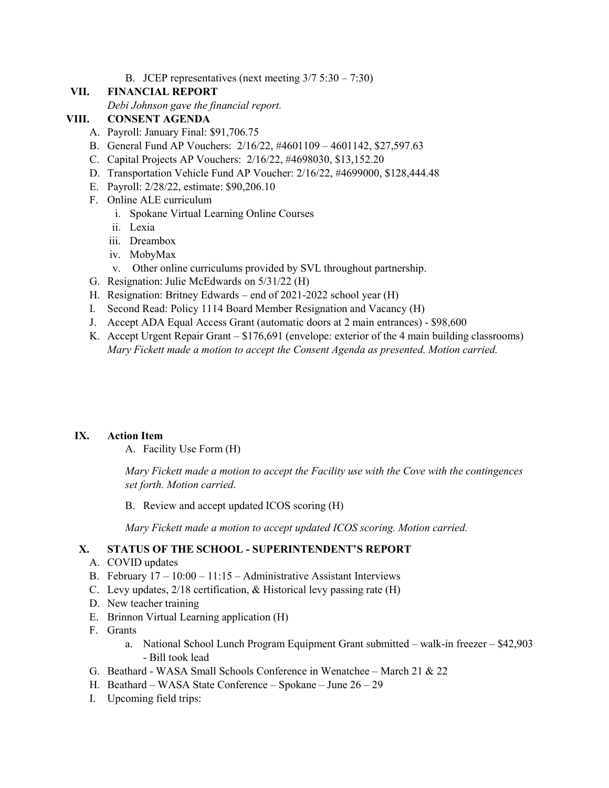B. JCEP representatives (next meeting  $3/7$  5:30 – 7:30)

## **VII. FINANCIAL REPORT**

*Debi Johnson gave the financial report.*

## **VIII. CONSENT AGENDA**

- A. Payroll: January Final: \$91,706.75
- B. General Fund AP Vouchers: 2/16/22, #4601109 4601142, \$27,597.63
- C. Capital Projects AP Vouchers: 2/16/22, #4698030, \$13,152.20
- D. Transportation Vehicle Fund AP Voucher: 2/16/22, #4699000, \$128,444.48
- E. Payroll: 2/28/22, estimate: \$90,206.10
- F. Online ALE curriculum
	- i. Spokane Virtual Learning Online Courses
	- ii. Lexia
	- iii. Dreambox
	- iv. MobyMax
	- v. Other online curriculums provided by SVL throughout partnership.
- G. Resignation: Julie McEdwards on 5/31/22 (H)
- H. Resignation: Britney Edwards end of 2021-2022 school year (H)
- I. Second Read: Policy 1114 Board Member Resignation and Vacancy (H)
- J. Accept ADA Equal Access Grant (automatic doors at 2 main entrances) \$98,600
- K. Accept Urgent Repair Grant \$176,691 (envelope: exterior of the 4 main building classrooms) *Mary Fickett made a motion to accept the Consent Agenda as presented. Motion carried.*

#### **IX. Action Item**

A. Facility Use Form (H)

*Mary Fickett made a motion to accept the Facility use with the Cove with the contingences set forth. Motion carried*.

B. Review and accept updated ICOS scoring (H)

*Mary Fickett made a motion to accept updated ICOS scoring. Motion carried.*

## **X. STATUS OF THE SCHOOL - SUPERINTENDENT'S REPORT**

- A. COVID updates
- B. February  $17 10:00 11:15 -$  Administrative Assistant Interviews
- C. Levy updates, 2/18 certification, & Historical levy passing rate (H)
- D. New teacher training
- E. Brinnon Virtual Learning application (H)
- F. Grants
	- a. National School Lunch Program Equipment Grant submitted walk-in freezer \$42,903 - Bill took lead
- G. Beathard WASA Small Schools Conference in Wenatchee March 21 & 22
- H. Beathard WASA State Conference Spokane June 26 29
- I. Upcoming field trips: